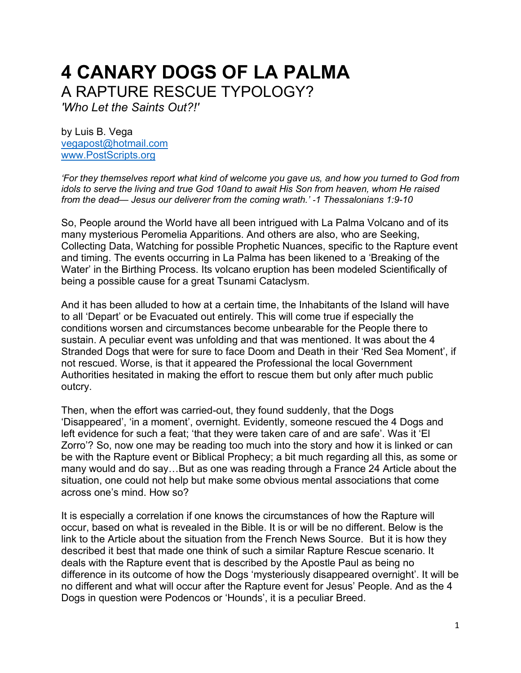## **4 CANARY DOGS OF LA PALMA** A RAPTURE RESCUE TYPOLOGY?

*'Who Let the Saints Out?!'*

by Luis B. Vega [vegapost@hotmail.com](mailto:vegapost@hotmail.com) [www.PostScripts.org](http://www.postscripts.org/)

*'For they themselves report what kind of welcome you gave us, and how you turned to God from idols to serve the living and true God 10and to await His Son from heaven, whom He raised from the dead— Jesus our deliverer from the coming wrath.' -1 Thessalonians 1:9-10*

So, People around the World have all been intrigued with La Palma Volcano and of its many mysterious Peromelia Apparitions. And others are also, who are Seeking, Collecting Data, Watching for possible Prophetic Nuances, specific to the Rapture event and timing. The events occurring in La Palma has been likened to a 'Breaking of the Water' in the Birthing Process. Its volcano eruption has been modeled Scientifically of being a possible cause for a great Tsunami Cataclysm.

And it has been alluded to how at a certain time, the Inhabitants of the Island will have to all 'Depart' or be Evacuated out entirely. This will come true if especially the conditions worsen and circumstances become unbearable for the People there to sustain. A peculiar event was unfolding and that was mentioned. It was about the 4 Stranded Dogs that were for sure to face Doom and Death in their 'Red Sea Moment', if not rescued. Worse, is that it appeared the Professional the local Government Authorities hesitated in making the effort to rescue them but only after much public outcry.

Then, when the effort was carried-out, they found suddenly, that the Dogs 'Disappeared', 'in a moment', overnight. Evidently, someone rescued the 4 Dogs and left evidence for such a feat; 'that they were taken care of and are safe'. Was it 'El Zorro'? So, now one may be reading too much into the story and how it is linked or can be with the Rapture event or Biblical Prophecy; a bit much regarding all this, as some or many would and do say…But as one was reading through a France 24 Article about the situation, one could not help but make some obvious mental associations that come across one's mind. How so?

It is especially a correlation if one knows the circumstances of how the Rapture will occur, based on what is revealed in the Bible. It is or will be no different. Below is the link to the Article about the situation from the French News Source. But it is how they described it best that made one think of such a similar Rapture Rescue scenario. It deals with the Rapture event that is described by the Apostle Paul as being no difference in its outcome of how the Dogs 'mysteriously disappeared overnight'. It will be no different and what will occur after the Rapture event for Jesus' People. And as the 4 Dogs in question were Podencos or 'Hounds', it is a peculiar Breed.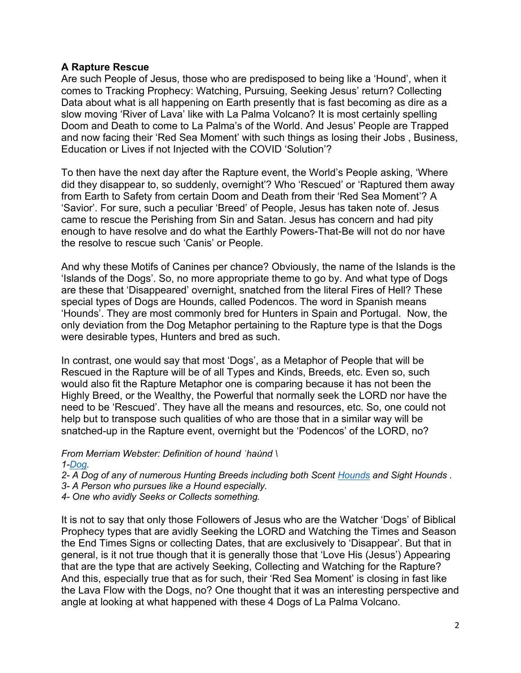## **A Rapture Rescue**

Are such People of Jesus, those who are predisposed to being like a 'Hound', when it comes to Tracking Prophecy: Watching, Pursuing, Seeking Jesus' return? Collecting Data about what is all happening on Earth presently that is fast becoming as dire as a slow moving 'River of Lava' like with La Palma Volcano? It is most certainly spelling Doom and Death to come to La Palma's of the World. And Jesus' People are Trapped and now facing their 'Red Sea Moment' with such things as losing their Jobs , Business, Education or Lives if not Injected with the COVID 'Solution'?

To then have the next day after the Rapture event, the World's People asking, 'Where did they disappear to, so suddenly, overnight'? Who 'Rescued' or 'Raptured them away from Earth to Safety from certain Doom and Death from their 'Red Sea Moment'? A 'Savior'. For sure, such a peculiar 'Breed' of People, Jesus has taken note of. Jesus came to rescue the Perishing from Sin and Satan. Jesus has concern and had pity enough to have resolve and do what the Earthly Powers-That-Be will not do nor have the resolve to rescue such 'Canis' or People.

And why these Motifs of Canines per chance? Obviously, the name of the Islands is the 'Islands of the Dogs'. So, no more appropriate theme to go by. And what type of Dogs are these that 'Disappeared' overnight, snatched from the literal Fires of Hell? These special types of Dogs are Hounds, called Podencos. The word in Spanish means 'Hounds'. They are most commonly bred for Hunters in Spain and Portugal. Now, the only deviation from the Dog Metaphor pertaining to the Rapture type is that the Dogs were desirable types, Hunters and bred as such.

In contrast, one would say that most 'Dogs', as a Metaphor of People that will be Rescued in the Rapture will be of all Types and Kinds, Breeds, etc. Even so, such would also fit the Rapture Metaphor one is comparing because it has not been the Highly Breed, or the Wealthy, the Powerful that normally seek the LORD nor have the need to be 'Rescued'. They have all the means and resources, etc. So, one could not help but to transpose such qualities of who are those that in a similar way will be snatched-up in the Rapture event, overnight but the 'Podencos' of the LORD, no?

*From Merriam Webster: Definition of hound ˈhau̇nd \ 1[-Dog.](https://www.merriam-webster.com/dictionary/dog)*

*2- A Dog of any of numerous Hunting Breeds including both Scent [Hounds](https://www.merriam-webster.com/dictionary/hounds) and Sight Hounds .*

*3- A Person who pursues like a Hound especially.* 

*4- One who avidly Seeks or Collects something.* 

It is not to say that only those Followers of Jesus who are the Watcher 'Dogs' of Biblical Prophecy types that are avidly Seeking the LORD and Watching the Times and Season the End Times Signs or collecting Dates, that are exclusively to 'Disappear'. But that in general, is it not true though that it is generally those that 'Love His (Jesus') Appearing that are the type that are actively Seeking, Collecting and Watching for the Rapture? And this, especially true that as for such, their 'Red Sea Moment' is closing in fast like the Lava Flow with the Dogs, no? One thought that it was an interesting perspective and angle at looking at what happened with these 4 Dogs of La Palma Volcano.